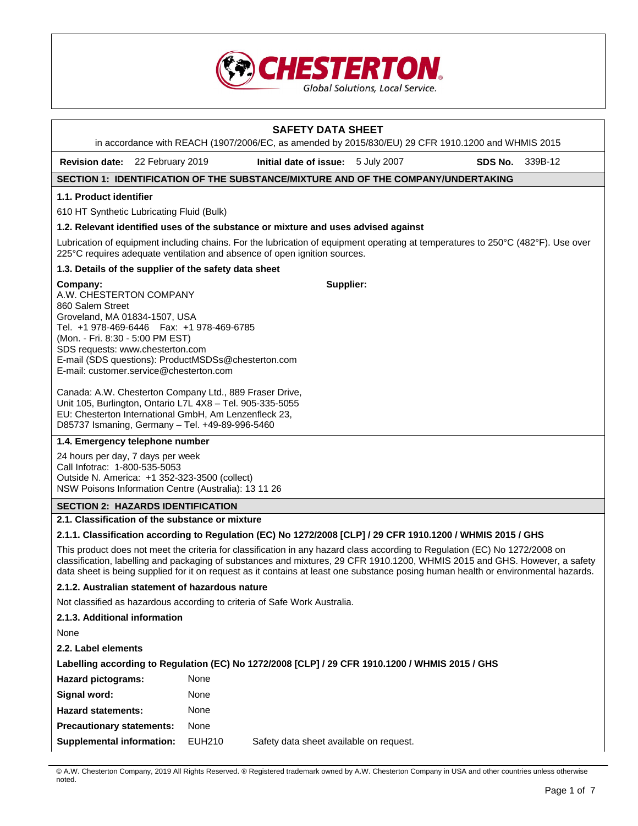

# **SAFETY DATA SHEET**

in accordance with REACH (1907/2006/EC, as amended by 2015/830/EU) 29 CFR 1910.1200 and WHMIS 2015

**Revision date:** 22 February 2019 **Initial date of issue:** 5 July 2007 **SDS No.** 339B-12

# **SECTION 1: IDENTIFICATION OF THE SUBSTANCE/MIXTURE AND OF THE COMPANY/UNDERTAKING**

## **1.1. Product identifier**

610 HT Synthetic Lubricating Fluid (Bulk)

### **1.2. Relevant identified uses of the substance or mixture and uses advised against**

Lubrication of equipment including chains. For the lubrication of equipment operating at temperatures to 250°C (482°F). Use over 225°C requires adequate ventilation and absence of open ignition sources.

**Supplier:**

### **1.3. Details of the supplier of the safety data sheet**

### **Company:**

A.W. CHESTERTON COMPANY 860 Salem Street Groveland, MA 01834-1507, USA Tel. +1 978-469-6446 Fax: +1 978-469-6785 (Mon. - Fri. 8:30 - 5:00 PM EST) SDS requests: www.chesterton.com E-mail (SDS questions): ProductMSDSs@chesterton.com E-mail: customer.service@chesterton.com

Canada: A.W. Chesterton Company Ltd., 889 Fraser Drive, Unit 105, Burlington, Ontario L7L 4X8 – Tel. 905-335-5055 EU: Chesterton International GmbH, Am Lenzenfleck 23, D85737 Ismaning, Germany – Tel. +49-89-996-5460

# **1.4. Emergency telephone number**

24 hours per day, 7 days per week Call Infotrac: 1-800-535-5053 Outside N. America: +1 352-323-3500 (collect) NSW Poisons Information Centre (Australia): 13 11 26

#### **SECTION 2: HAZARDS IDENTIFICATION**

#### **2.1. Classification of the substance or mixture**

# **2.1.1. Classification according to Regulation (EC) No 1272/2008 [CLP] / 29 CFR 1910.1200 / WHMIS 2015 / GHS**

This product does not meet the criteria for classification in any hazard class according to Regulation (EC) No 1272/2008 on classification, labelling and packaging of substances and mixtures, 29 CFR 1910.1200, WHMIS 2015 and GHS. However, a safety data sheet is being supplied for it on request as it contains at least one substance posing human health or environmental hazards.

#### **2.1.2. Australian statement of hazardous nature**

Not classified as hazardous according to criteria of Safe Work Australia.

**2.1.3. Additional information** 

None

**2.2. Label elements** 

| Labelling according to Regulation (EC) No 1272/2008 [CLP] / 29 CFR 1910.1200 / WHMIS 2015 / GHS |        |                                         |  |  |  |
|-------------------------------------------------------------------------------------------------|--------|-----------------------------------------|--|--|--|
| <b>Hazard pictograms:</b>                                                                       | None   |                                         |  |  |  |
| Signal word:                                                                                    | None   |                                         |  |  |  |
| <b>Hazard statements:</b>                                                                       | None   |                                         |  |  |  |
| <b>Precautionary statements:</b>                                                                | None   |                                         |  |  |  |
| Supplemental information:                                                                       | EUH210 | Safety data sheet available on request. |  |  |  |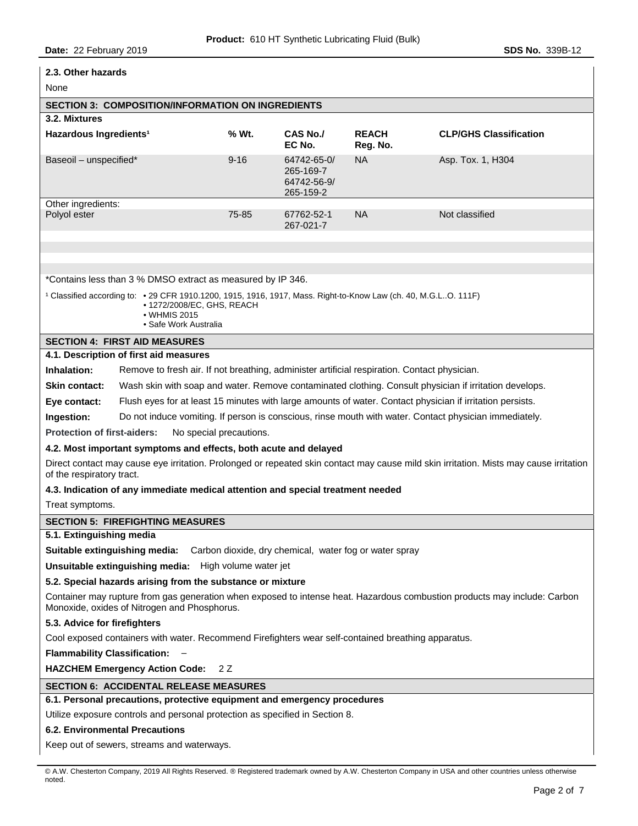| 2.3. Other hazards                                                                                                                                                                     |          |                                                      |                          |                                                                                                           |  |
|----------------------------------------------------------------------------------------------------------------------------------------------------------------------------------------|----------|------------------------------------------------------|--------------------------|-----------------------------------------------------------------------------------------------------------|--|
| None                                                                                                                                                                                   |          |                                                      |                          |                                                                                                           |  |
| <b>SECTION 3: COMPOSITION/INFORMATION ON INGREDIENTS</b>                                                                                                                               |          |                                                      |                          |                                                                                                           |  |
| 3.2. Mixtures                                                                                                                                                                          |          |                                                      |                          |                                                                                                           |  |
| Hazardous Ingredients <sup>1</sup>                                                                                                                                                     | % Wt.    | CAS No./<br>EC No.                                   | <b>REACH</b><br>Reg. No. | <b>CLP/GHS Classification</b>                                                                             |  |
| Baseoil - unspecified*                                                                                                                                                                 | $9 - 16$ | 64742-65-0/<br>265-169-7<br>64742-56-9/<br>265-159-2 | <b>NA</b>                | Asp. Tox. 1, H304                                                                                         |  |
| Other ingredients:                                                                                                                                                                     |          |                                                      |                          |                                                                                                           |  |
| Polyol ester                                                                                                                                                                           | 75-85    | 67762-52-1<br>267-021-7                              | <b>NA</b>                | Not classified                                                                                            |  |
|                                                                                                                                                                                        |          |                                                      |                          |                                                                                                           |  |
|                                                                                                                                                                                        |          |                                                      |                          |                                                                                                           |  |
| *Contains less than 3 % DMSO extract as measured by IP 346.                                                                                                                            |          |                                                      |                          |                                                                                                           |  |
| 1 Classified according to: • 29 CFR 1910.1200, 1915, 1916, 1917, Mass. Right-to-Know Law (ch. 40, M.G.LO. 111F)<br>• 1272/2008/EC, GHS, REACH<br>• WHMIS 2015<br>• Safe Work Australia |          |                                                      |                          |                                                                                                           |  |
| <b>SECTION 4: FIRST AID MEASURES</b>                                                                                                                                                   |          |                                                      |                          |                                                                                                           |  |
| 4.1. Description of first aid measures                                                                                                                                                 |          |                                                      |                          |                                                                                                           |  |
| Inhalation:<br>Remove to fresh air. If not breathing, administer artificial respiration. Contact physician.                                                                            |          |                                                      |                          |                                                                                                           |  |
| <b>Skin contact:</b>                                                                                                                                                                   |          |                                                      |                          | Wash skin with soap and water. Remove contaminated clothing. Consult physician if irritation develops.    |  |
| Eye contact:                                                                                                                                                                           |          |                                                      |                          | Flush eyes for at least 15 minutes with large amounts of water. Contact physician if irritation persists. |  |
| Ingestion:                                                                                                                                                                             |          |                                                      |                          | Do not induce vomiting. If person is conscious, rinse mouth with water. Contact physician immediately.    |  |
| <b>Protection of first-aiders:</b><br>No special precautions.                                                                                                                          |          |                                                      |                          |                                                                                                           |  |
| 4.2. Most important symptoms and effects, both acute and delayed                                                                                                                       |          |                                                      |                          |                                                                                                           |  |
| Direct contact may cause eye irritation. Prolonged or repeated skin contact may cause mild skin irritation. Mists may cause irritation<br>of the respiratory tract.                    |          |                                                      |                          |                                                                                                           |  |
| 4.3. Indication of any immediate medical attention and special treatment needed                                                                                                        |          |                                                      |                          |                                                                                                           |  |
| Treat symptoms.                                                                                                                                                                        |          |                                                      |                          |                                                                                                           |  |
| <b>SECTION 5: FIREFIGHTING MEASURES</b>                                                                                                                                                |          |                                                      |                          |                                                                                                           |  |
| 5.1. Extinguishing media                                                                                                                                                               |          |                                                      |                          |                                                                                                           |  |
| Suitable extinguishing media:<br>Carbon dioxide, dry chemical, water fog or water spray                                                                                                |          |                                                      |                          |                                                                                                           |  |
| Unsuitable extinguishing media: High volume water jet                                                                                                                                  |          |                                                      |                          |                                                                                                           |  |
| 5.2. Special hazards arising from the substance or mixture                                                                                                                             |          |                                                      |                          |                                                                                                           |  |
| Container may rupture from gas generation when exposed to intense heat. Hazardous combustion products may include: Carbon<br>Monoxide, oxides of Nitrogen and Phosphorus.              |          |                                                      |                          |                                                                                                           |  |
| 5.3. Advice for firefighters                                                                                                                                                           |          |                                                      |                          |                                                                                                           |  |
| Cool exposed containers with water. Recommend Firefighters wear self-contained breathing apparatus.                                                                                    |          |                                                      |                          |                                                                                                           |  |
| <b>Flammability Classification:</b>                                                                                                                                                    |          |                                                      |                          |                                                                                                           |  |
| <b>HAZCHEM Emergency Action Code:</b><br>2 Z                                                                                                                                           |          |                                                      |                          |                                                                                                           |  |
| <b>SECTION 6: ACCIDENTAL RELEASE MEASURES</b>                                                                                                                                          |          |                                                      |                          |                                                                                                           |  |
| 6.1. Personal precautions, protective equipment and emergency procedures                                                                                                               |          |                                                      |                          |                                                                                                           |  |
| Utilize exposure controls and personal protection as specified in Section 8.                                                                                                           |          |                                                      |                          |                                                                                                           |  |
| <b>6.2. Environmental Precautions</b>                                                                                                                                                  |          |                                                      |                          |                                                                                                           |  |
| Keep out of sewers, streams and waterways.                                                                                                                                             |          |                                                      |                          |                                                                                                           |  |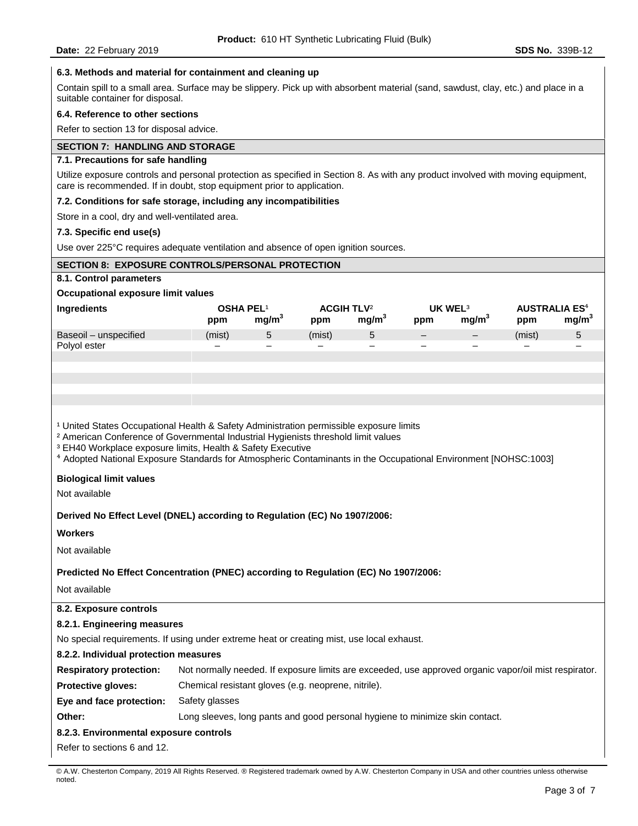## **6.3. Methods and material for containment and cleaning up**

Contain spill to a small area. Surface may be slippery. Pick up with absorbent material (sand, sawdust, clay, etc.) and place in a suitable container for disposal.

#### **6.4. Reference to other sections**

Refer to section 13 for disposal advice.

### **SECTION 7: HANDLING AND STORAGE**

# **7.1. Precautions for safe handling**

Utilize exposure controls and personal protection as specified in Section 8. As with any product involved with moving equipment, care is recommended. If in doubt, stop equipment prior to application.

#### **7.2. Conditions for safe storage, including any incompatibilities**

Store in a cool, dry and well-ventilated area.

#### **7.3. Specific end use(s)**

Use over 225°C requires adequate ventilation and absence of open ignition sources.

### **SECTION 8: EXPOSURE CONTROLS/PERSONAL PROTECTION**

#### **8.1. Control parameters**

## **Occupational exposure limit values**

| Ingredients           | <b>OSHA PEL</b> |                          | <b>ACGIH TLV2</b>        |                   | UK WEL <sup>3</sup>      |                   | <b>AUSTRALIA ES<sup>4</sup></b> |      |
|-----------------------|-----------------|--------------------------|--------------------------|-------------------|--------------------------|-------------------|---------------------------------|------|
|                       | ppm             | mg/m`                    | ppm                      | mq/m <sup>3</sup> | ppm                      | mq/m <sup>3</sup> | ppm                             | mg/m |
| Baseoil - unspecified | (mist)          |                          | (mist)                   | ∽<br>ບ            | $\overline{\phantom{0}}$ | $\qquad \qquad -$ | (mist)                          | 5    |
| Polvol ester          | -               | $\overline{\phantom{0}}$ | $\overline{\phantom{0}}$ | -                 | $\overline{\phantom{0}}$ |                   |                                 | -    |

<sup>1</sup> United States Occupational Health & Safety Administration permissible exposure limits

² American Conference of Governmental Industrial Hygienists threshold limit values

³ EH40 Workplace exposure limits, Health & Safety Executive

⁴ Adopted National Exposure Standards for Atmospheric Contaminants in the Occupational Environment [NOHSC:1003]

#### **Biological limit values**

Not available

**Derived No Effect Level (DNEL) according to Regulation (EC) No 1907/2006:** 

#### **Workers**

Not available

#### **Predicted No Effect Concentration (PNEC) according to Regulation (EC) No 1907/2006:**

Not available

# **8.2. Exposure controls 8.2.1. Engineering measures**  No special requirements. If using under extreme heat or creating mist, use local exhaust. **8.2.2. Individual protection measures Respiratory protection:** Not normally needed. If exposure limits are exceeded, use approved organic vapor/oil mist respirator. **Protective gloves:** Chemical resistant gloves (e.g. neoprene, nitrile). **Eye and face protection:** Safety glasses **Other:** Long sleeves, long pants and good personal hygiene to minimize skin contact. **8.2.3. Environmental exposure controls**

Refer to sections 6 and 12.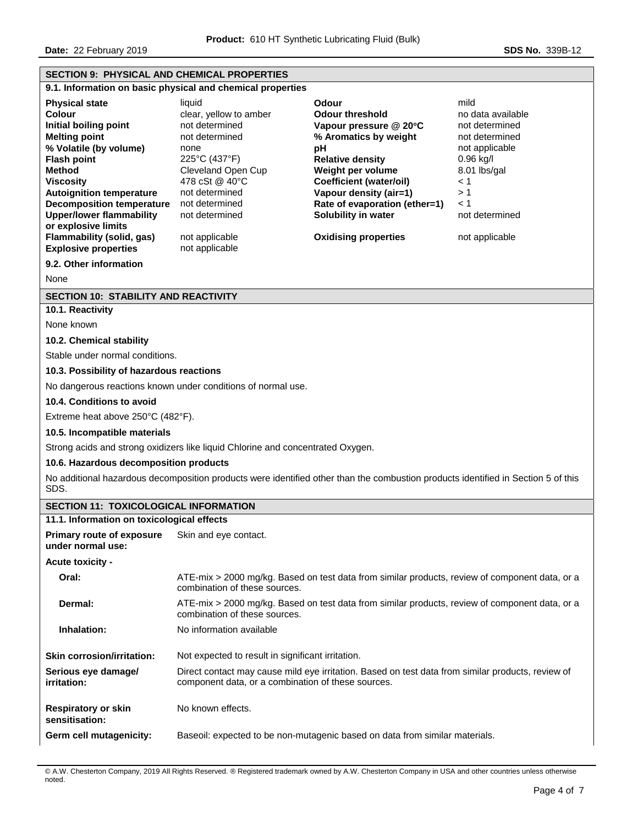**Date:** 22 February 2019 **SDS No. 339B-12** 

# **SECTION 9: PHYSICAL AND CHEMICAL PROPERTIES 9.1. Information on basic physical and chemical properties Physical state Contract Contract Contract Contract Contract Colour** *mild* **colour threshold and the modata available contract Colour for amber contract Colour for an available colour for the shold** clear, yellow to amber **Initial boiling point not determined Vapour pressure @ 20°C** and determined **Melting point not determined Melting point not determined Melting point Melting point** *not determined not determined* **Melting point** not determined **% Aromatics by weight** not determined **% Volatile (by volume)** none **pH** not applicable **Flash point** 225°C (437°F) **Relative density** 0.96 kg/l **Method** Cleveland Open Cup **Weight per volume** 8.01 lbs/gal **Viscosity** 478 cSt @ 40°C **Coefficient (water/oil)** < 1 **Autoignition temperature** not determined **Vapour density (air=1)** > 1 **Decomposition temperature** not determined **Rate of evaporation (ether=1)** < 1 **Upper/lower flammability or explosive limits**  not determined **Solubility in water** not determined **Flammability (solid, gas)** not applicable **Oxidising properties** not applicable **Explosive properties** not applicable **9.2. Other information**  None **SECTION 10: STABILITY AND REACTIVITY 10.1. Reactivity**  None known **10.2. Chemical stability**  Stable under normal conditions. **10.3. Possibility of hazardous reactions**  No dangerous reactions known under conditions of normal use. **10.4. Conditions to avoid**  Extreme heat above 250°C (482°F). **10.5. Incompatible materials**  Strong acids and strong oxidizers like liquid Chlorine and concentrated Oxygen. **10.6. Hazardous decomposition products**  No additional hazardous decomposition products were identified other than the combustion products identified in Section 5 of this SDS. **SECTION 11: TOXICOLOGICAL INFORMATION 11.1. Information on toxicological effects Primary route of exposure under normal use:**  Skin and eye contact. **Acute toxicity - Oral:** ATE-mix > 2000 mg/kg. Based on test data from similar products, review of component data, or a combination of these sources. **Dermal:** ATE-mix > 2000 mg/kg. Based on test data from similar products, review of component data, or a combination of these sources. **Inhalation:** No information available **Skin corrosion/irritation:** Not expected to result in significant irritation. **Serious eye damage/ irritation:**  Direct contact may cause mild eye irritation. Based on test data from similar products, review of component data, or a combination of these sources. **Respiratory or skin sensitisation:**  No known effects. **Germ cell mutagenicity:** Baseoil: expected to be non-mutagenic based on data from similar materials.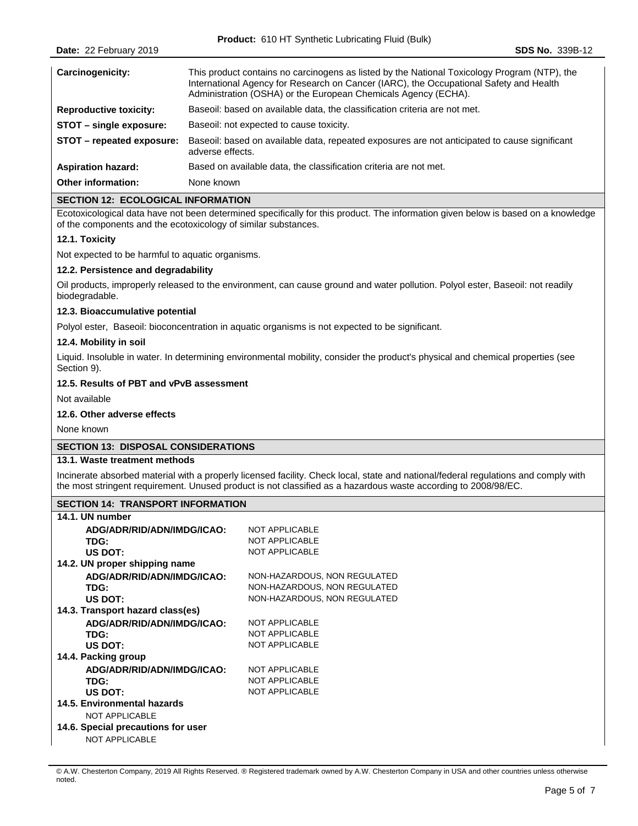| Carcinogenicity:              | This product contains no carcinogens as listed by the National Toxicology Program (NTP), the<br>International Agency for Research on Cancer (IARC), the Occupational Safety and Health<br>Administration (OSHA) or the European Chemicals Agency (ECHA). |
|-------------------------------|----------------------------------------------------------------------------------------------------------------------------------------------------------------------------------------------------------------------------------------------------------|
| <b>Reproductive toxicity:</b> | Baseoil: based on available data, the classification criteria are not met.                                                                                                                                                                               |
| STOT – single exposure:       | Baseoil: not expected to cause toxicity.                                                                                                                                                                                                                 |
| STOT – repeated exposure:     | Baseoil: based on available data, repeated exposures are not anticipated to cause significant<br>adverse effects.                                                                                                                                        |
| <b>Aspiration hazard:</b>     | Based on available data, the classification criteria are not met.                                                                                                                                                                                        |
| Other information:            | None known                                                                                                                                                                                                                                               |

# **SECTION 12: ECOLOGICAL INFORMATION**

Ecotoxicological data have not been determined specifically for this product. The information given below is based on a knowledge of the components and the ecotoxicology of similar substances.

# **12.1. Toxicity**

Not expected to be harmful to aquatic organisms.

### **12.2. Persistence and degradability**

Oil products, improperly released to the environment, can cause ground and water pollution. Polyol ester, Baseoil: not readily biodegradable.

### **12.3. Bioaccumulative potential**

Polyol ester, Baseoil: bioconcentration in aquatic organisms is not expected to be significant.

# **12.4. Mobility in soil**

Liquid. Insoluble in water. In determining environmental mobility, consider the product's physical and chemical properties (see Section 9).

# **12.5. Results of PBT and vPvB assessment**

Not available

# **12.6. Other adverse effects**

None known

# **SECTION 13: DISPOSAL CONSIDERATIONS**

## **13.1. Waste treatment methods**

Incinerate absorbed material with a properly licensed facility. Check local, state and national/federal regulations and comply with the most stringent requirement. Unused product is not classified as a hazardous waste according to 2008/98/EC.

# **SECTION 14: TRANSPORT INFORMATION**

| 14.1. UN number                    |                              |
|------------------------------------|------------------------------|
| ADG/ADR/RID/ADN/IMDG/ICAO:         | <b>NOT APPLICABLE</b>        |
| TDG:                               | <b>NOT APPLICABLE</b>        |
| US DOT:                            | <b>NOT APPLICABLE</b>        |
| 14.2. UN proper shipping name      |                              |
| ADG/ADR/RID/ADN/IMDG/ICAO:         | NON-HAZARDOUS, NON REGULATED |
| TDG:                               | NON-HAZARDOUS, NON REGULATED |
| US DOT:                            | NON-HAZARDOUS, NON REGULATED |
| 14.3. Transport hazard class(es)   |                              |
| ADG/ADR/RID/ADN/IMDG/ICAO:         | <b>NOT APPLICABLE</b>        |
| TDG:                               | <b>NOT APPLICABLE</b>        |
| US DOT:                            | <b>NOT APPLICABLE</b>        |
| 14.4. Packing group                |                              |
| ADG/ADR/RID/ADN/IMDG/ICAO:         | <b>NOT APPLICABLE</b>        |
| TDG:                               | <b>NOT APPLICABLE</b>        |
| US DOT:                            | <b>NOT APPLICABLE</b>        |
| 14.5. Environmental hazards        |                              |
| <b>NOT APPLICABLE</b>              |                              |
| 14.6. Special precautions for user |                              |
| <b>NOT APPLICABLE</b>              |                              |

<sup>©</sup> A.W. Chesterton Company, 2019 All Rights Reserved. ® Registered trademark owned by A.W. Chesterton Company in USA and other countries unless otherwise noted.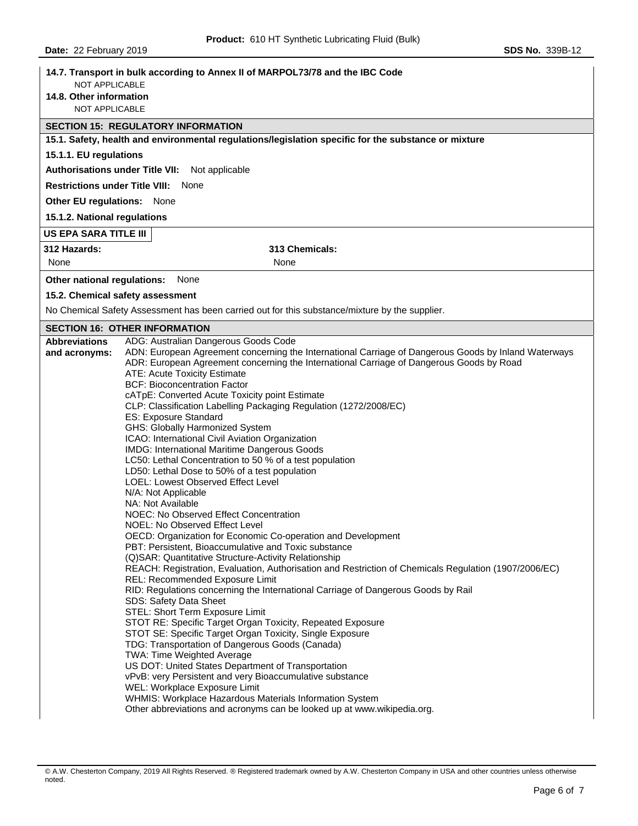| <b>NOT APPLICABLE</b>                  | 14.7. Transport in bulk according to Annex II of MARPOL73/78 and the IBC Code                                                                |
|----------------------------------------|----------------------------------------------------------------------------------------------------------------------------------------------|
| 14.8. Other information                |                                                                                                                                              |
| NOT APPLICABLE                         |                                                                                                                                              |
|                                        | <b>SECTION 15: REGULATORY INFORMATION</b>                                                                                                    |
|                                        | 15.1. Safety, health and environmental regulations/legislation specific for the substance or mixture                                         |
| 15.1.1. EU regulations                 |                                                                                                                                              |
| <b>Authorisations under Title VII:</b> | Not applicable                                                                                                                               |
|                                        | <b>Restrictions under Title VIII: None</b>                                                                                                   |
| Other EU regulations: None             |                                                                                                                                              |
| 15.1.2. National regulations           |                                                                                                                                              |
| <b>US EPA SARA TITLE III</b>           |                                                                                                                                              |
| 312 Hazards:                           | 313 Chemicals:                                                                                                                               |
| None                                   | None                                                                                                                                         |
| Other national regulations:            | None                                                                                                                                         |
|                                        | 15.2. Chemical safety assessment                                                                                                             |
|                                        | No Chemical Safety Assessment has been carried out for this substance/mixture by the supplier.                                               |
|                                        | <b>SECTION 16: OTHER INFORMATION</b>                                                                                                         |
| <b>Abbreviations</b>                   | ADG: Australian Dangerous Goods Code<br>ADN: European Agreement concerning the International Carriage of Dangerous Goods by Inland Waterways |
| and acronyms:                          | ADR: European Agreement concerning the International Carriage of Dangerous Goods by Road                                                     |
|                                        | ATE: Acute Toxicity Estimate                                                                                                                 |
|                                        | <b>BCF: Bioconcentration Factor</b>                                                                                                          |
|                                        | cATpE: Converted Acute Toxicity point Estimate<br>CLP: Classification Labelling Packaging Regulation (1272/2008/EC)                          |
|                                        | ES: Exposure Standard                                                                                                                        |
|                                        | GHS: Globally Harmonized System                                                                                                              |
|                                        | ICAO: International Civil Aviation Organization                                                                                              |
|                                        | IMDG: International Maritime Dangerous Goods                                                                                                 |
|                                        | LC50: Lethal Concentration to 50 % of a test population                                                                                      |
|                                        | LD50: Lethal Dose to 50% of a test population<br><b>LOEL: Lowest Observed Effect Level</b>                                                   |
|                                        | N/A: Not Applicable                                                                                                                          |
|                                        | NA: Not Available                                                                                                                            |
|                                        | NOEC: No Observed Effect Concentration                                                                                                       |
|                                        | NOEL: No Observed Effect Level<br>OECD: Organization for Economic Co-operation and Development                                               |
|                                        | PBT: Persistent, Bioaccumulative and Toxic substance                                                                                         |
|                                        | (Q)SAR: Quantitative Structure-Activity Relationship                                                                                         |
|                                        | REACH: Registration, Evaluation, Authorisation and Restriction of Chemicals Regulation (1907/2006/EC)                                        |
|                                        | REL: Recommended Exposure Limit<br>RID: Regulations concerning the International Carriage of Dangerous Goods by Rail                         |
|                                        | SDS: Safety Data Sheet                                                                                                                       |
|                                        | STEL: Short Term Exposure Limit                                                                                                              |
|                                        | STOT RE: Specific Target Organ Toxicity, Repeated Exposure                                                                                   |
|                                        | STOT SE: Specific Target Organ Toxicity, Single Exposure<br>TDG: Transportation of Dangerous Goods (Canada)                                  |
|                                        | TWA: Time Weighted Average                                                                                                                   |
|                                        | US DOT: United States Department of Transportation                                                                                           |
|                                        | vPvB: very Persistent and very Bioaccumulative substance                                                                                     |
|                                        | WEL: Workplace Exposure Limit<br>WHMIS: Workplace Hazardous Materials Information System                                                     |
|                                        | Other abbreviations and acronyms can be looked up at www.wikipedia.org.                                                                      |